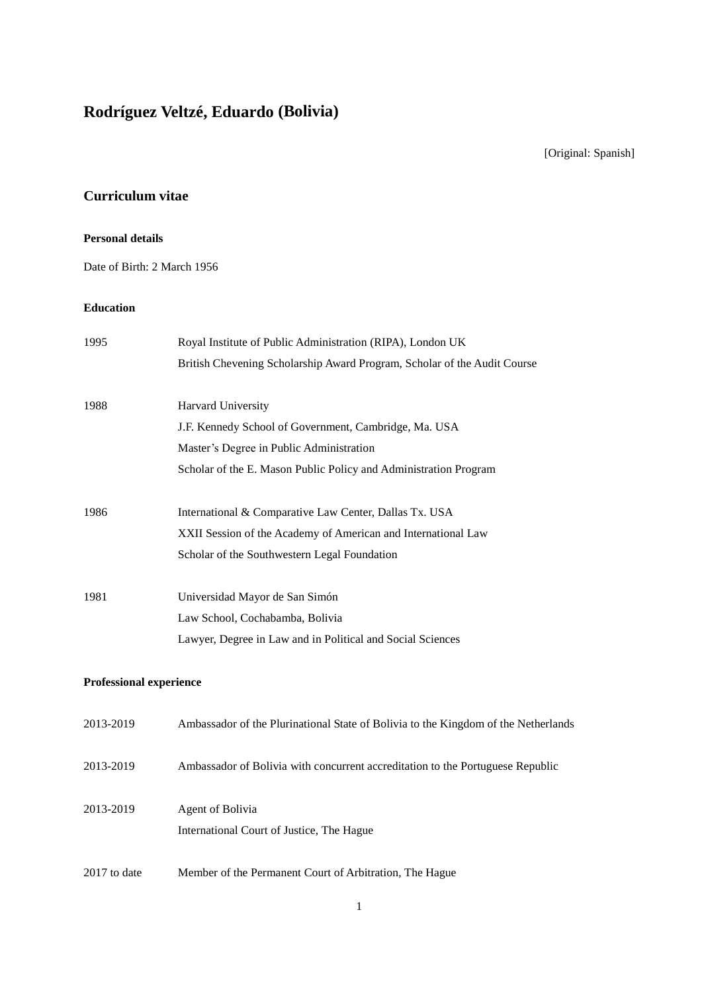# **Rodríguez Veltzé, Eduardo (Bolivia)**

[Original: Spanish]

# **Curriculum vitae**

## **Personal details**

Date of Birth: 2 March 1956

### **Education**

| 1995                           | Royal Institute of Public Administration (RIPA), London UK                         |
|--------------------------------|------------------------------------------------------------------------------------|
|                                | British Chevening Scholarship Award Program, Scholar of the Audit Course           |
| 1988                           | Harvard University                                                                 |
|                                | J.F. Kennedy School of Government, Cambridge, Ma. USA                              |
|                                | Master's Degree in Public Administration                                           |
|                                | Scholar of the E. Mason Public Policy and Administration Program                   |
| 1986                           | International & Comparative Law Center, Dallas Tx. USA                             |
|                                | XXII Session of the Academy of American and International Law                      |
|                                | Scholar of the Southwestern Legal Foundation                                       |
| 1981                           | Universidad Mayor de San Simón                                                     |
|                                | Law School, Cochabamba, Bolivia                                                    |
|                                | Lawyer, Degree in Law and in Political and Social Sciences                         |
| <b>Professional experience</b> |                                                                                    |
| 2013-2019                      | Ambassador of the Plurinational State of Bolivia to the Kingdom of the Netherlands |
| 2013-2019                      | Ambassador of Bolivia with concurrent accreditation to the Portuguese Republic     |
| 2013-2019                      | Agent of Bolivia                                                                   |
|                                | International Court of Justice, The Hague                                          |
| 2017 to date                   | Member of the Permanent Court of Arbitration, The Hague                            |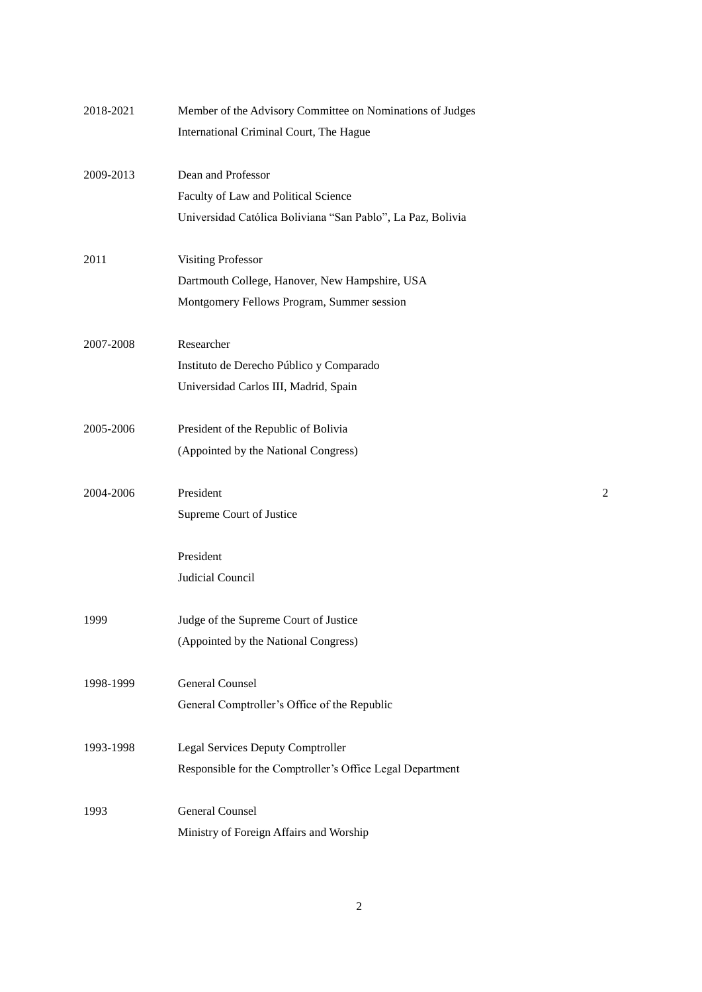| 2018-2021 | Member of the Advisory Committee on Nominations of Judges   |   |
|-----------|-------------------------------------------------------------|---|
|           | International Criminal Court, The Hague                     |   |
| 2009-2013 | Dean and Professor                                          |   |
|           | Faculty of Law and Political Science                        |   |
|           | Universidad Católica Boliviana "San Pablo", La Paz, Bolivia |   |
| 2011      | <b>Visiting Professor</b>                                   |   |
|           | Dartmouth College, Hanover, New Hampshire, USA              |   |
|           | Montgomery Fellows Program, Summer session                  |   |
| 2007-2008 | Researcher                                                  |   |
|           | Instituto de Derecho Público y Comparado                    |   |
|           | Universidad Carlos III, Madrid, Spain                       |   |
| 2005-2006 | President of the Republic of Bolivia                        |   |
|           | (Appointed by the National Congress)                        |   |
| 2004-2006 | President                                                   | 2 |
|           | Supreme Court of Justice                                    |   |
|           | President                                                   |   |
|           | Judicial Council                                            |   |
| 1999      | Judge of the Supreme Court of Justice                       |   |
|           | (Appointed by the National Congress)                        |   |
| 1998-1999 | <b>General Counsel</b>                                      |   |
|           | General Comptroller's Office of the Republic                |   |
| 1993-1998 | Legal Services Deputy Comptroller                           |   |
|           | Responsible for the Comptroller's Office Legal Department   |   |
| 1993      | <b>General Counsel</b>                                      |   |
|           | Ministry of Foreign Affairs and Worship                     |   |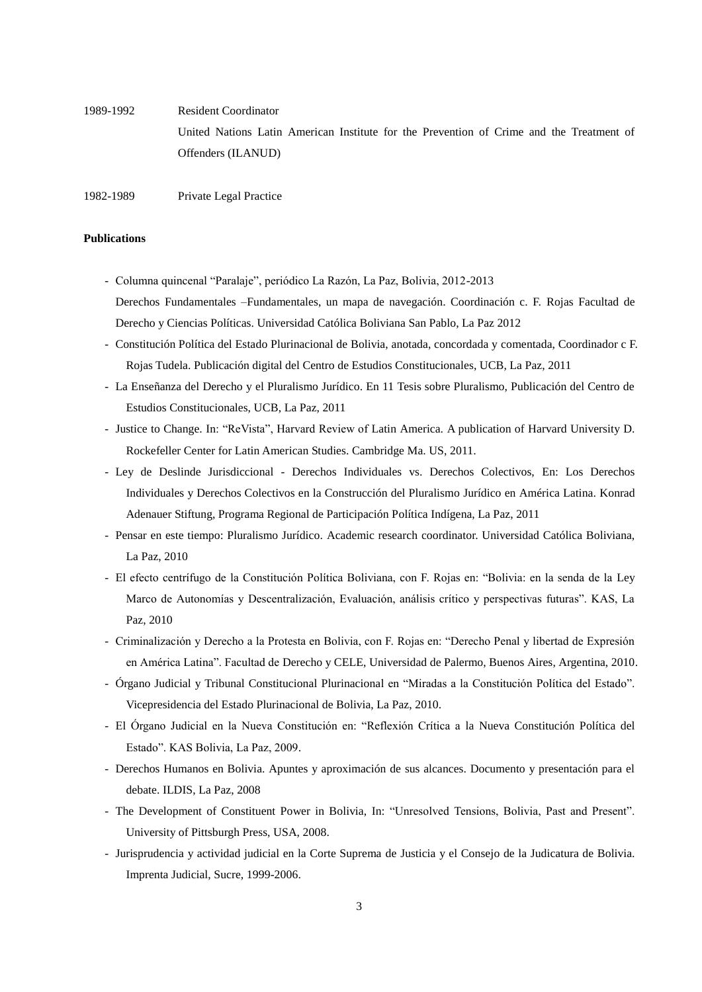1989-1992 Resident Coordinator United Nations Latin American Institute for the Prevention of Crime and the Treatment of Offenders (ILANUD)

1982-1989 Private Legal Practice

#### **Publications**

- Columna quincenal "Paralaje", periódico La Razón, La Paz, Bolivia, 2012-2013

Derechos Fundamentales –Fundamentales, un mapa de navegación. Coordinación c. F. Rojas Facultad de Derecho y Ciencias Políticas. Universidad Católica Boliviana San Pablo, La Paz 2012

- Constitución Política del Estado Plurinacional de Bolivia, anotada, concordada y comentada, Coordinador c F. Rojas Tudela. Publicación digital del Centro de Estudios Constitucionales, UCB, La Paz, 2011
- La Enseñanza del Derecho y el Pluralismo Jurídico. En 11 Tesis sobre Pluralismo, Publicación del Centro de Estudios Constitucionales, UCB, La Paz, 2011
- Justice to Change. In: "ReVista", Harvard Review of Latin America. A publication of Harvard University D. Rockefeller Center for Latin American Studies. Cambridge Ma. US, 2011.
- Ley de Deslinde Jurisdiccional Derechos Individuales vs. Derechos Colectivos, En: Los Derechos Individuales y Derechos Colectivos en la Construcción del Pluralismo Jurídico en América Latina. Konrad Adenauer Stiftung, Programa Regional de Participación Política Indígena, La Paz, 2011
- Pensar en este tiempo: Pluralismo Jurídico. Academic research coordinator. Universidad Católica Boliviana, La Paz, 2010
- El efecto centrífugo de la Constitución Política Boliviana, con F. Rojas en: "Bolivia: en la senda de la Ley Marco de Autonomías y Descentralización, Evaluación, análisis crítico y perspectivas futuras". KAS, La Paz, 2010
- Criminalización y Derecho a la Protesta en Bolivia, con F. Rojas en: "Derecho Penal y libertad de Expresión en América Latina". Facultad de Derecho y CELE, Universidad de Palermo, Buenos Aires, Argentina, 2010.
- Órgano Judicial y Tribunal Constitucional Plurinacional en "Miradas a la Constitución Política del Estado". Vicepresidencia del Estado Plurinacional de Bolivia, La Paz, 2010.
- El Órgano Judicial en la Nueva Constitución en: "Reflexión Crítica a la Nueva Constitución Política del Estado". KAS Bolivia, La Paz, 2009.
- Derechos Humanos en Bolivia. Apuntes y aproximación de sus alcances. Documento y presentación para el debate. ILDIS, La Paz, 2008
- The Development of Constituent Power in Bolivia, In: "Unresolved Tensions, Bolivia, Past and Present". University of Pittsburgh Press, USA, 2008.
- Jurisprudencia y actividad judicial en la Corte Suprema de Justicia y el Consejo de la Judicatura de Bolivia. Imprenta Judicial, Sucre, 1999-2006.